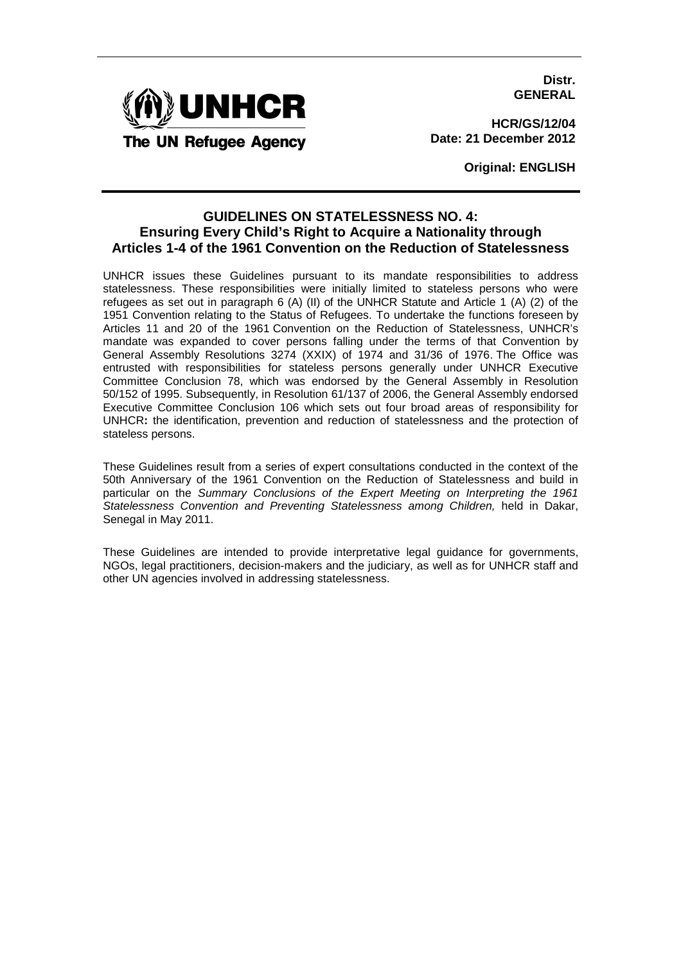**Distr. GENERAL**



**HCR/GS/12/04 Date: 21 December 2012**

**Original: ENGLISH**

# **GUIDELINES ON STATELESSNESS NO. 4: Ensuring Every Child's Right to Acquire a Nationality through Articles 1-4 of the 1961 Convention on the Reduction of Statelessness**

UNHCR issues these Guidelines pursuant to its mandate responsibilities to address statelessness. These responsibilities were initially limited to stateless persons who were refugees as set out in paragraph 6 (A) (II) of the UNHCR Statute and Article 1 (A) (2) of the 1951 Convention relating to the Status of Refugees. To undertake the functions foreseen by Articles 11 and 20 of the 1961 Convention on the Reduction of Statelessness, UNHCR's mandate was expanded to cover persons falling under the terms of that Convention by General Assembly Resolutions 3274 (XXIX) of 1974 and 31/36 of 1976. The Office was entrusted with responsibilities for stateless persons generally under UNHCR Executive Committee Conclusion 78, which was endorsed by the General Assembly in Resolution 50/152 of 1995. Subsequently, in Resolution 61/137 of 2006, the General Assembly endorsed Executive Committee Conclusion 106 which sets out four broad areas of responsibility for UNHCR**:** the identification, prevention and reduction of statelessness and the protection of stateless persons.

These Guidelines result from a series of expert consultations conducted in the context of the 50th Anniversary of the 1961 Convention on the Reduction of Statelessness and build in particular on the Summary Conclusions of the Expert Meeting on Interpreting the 1961 Statelessness Convention and Preventing Statelessness among Children, held in Dakar, Senegal in May 2011.

These Guidelines are intended to provide interpretative legal guidance for governments, NGOs, legal practitioners, decision-makers and the judiciary, as well as for UNHCR staff and other UN agencies involved in addressing statelessness.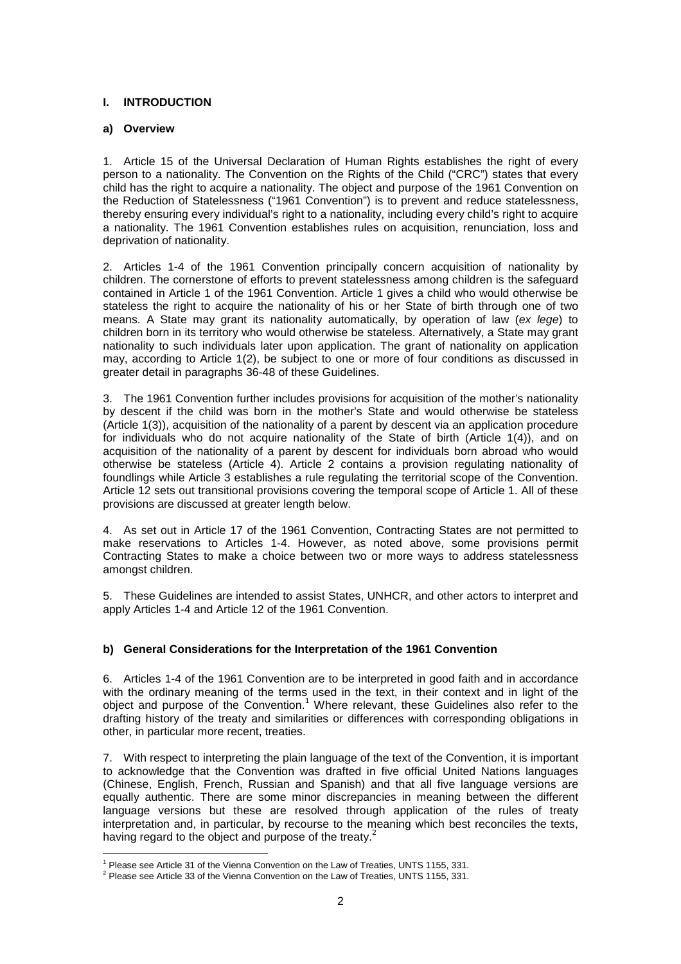## **I. INTRODUCTION**

#### **a) Overview**

 $\overline{a}$ 

1. Article 15 of the Universal Declaration of Human Rights establishes the right of every person to a nationality. The Convention on the Rights of the Child ("CRC") states that every child has the right to acquire a nationality. The object and purpose of the 1961 Convention on the Reduction of Statelessness ("1961 Convention") is to prevent and reduce statelessness, thereby ensuring every individual's right to a nationality, including every child's right to acquire a nationality. The 1961 Convention establishes rules on acquisition, renunciation, loss and deprivation of nationality.

2. Articles 1-4 of the 1961 Convention principally concern acquisition of nationality by children. The cornerstone of efforts to prevent statelessness among children is the safeguard contained in Article 1 of the 1961 Convention. Article 1 gives a child who would otherwise be stateless the right to acquire the nationality of his or her State of birth through one of two means. A State may grant its nationality automatically, by operation of law (ex lege) to children born in its territory who would otherwise be stateless. Alternatively, a State may grant nationality to such individuals later upon application. The grant of nationality on application may, according to Article 1(2), be subject to one or more of four conditions as discussed in greater detail in paragraphs 36-48 of these Guidelines.

3. The 1961 Convention further includes provisions for acquisition of the mother's nationality by descent if the child was born in the mother's State and would otherwise be stateless (Article 1(3)), acquisition of the nationality of a parent by descent via an application procedure for individuals who do not acquire nationality of the State of birth (Article 1(4)), and on acquisition of the nationality of a parent by descent for individuals born abroad who would otherwise be stateless (Article 4). Article 2 contains a provision regulating nationality of foundlings while Article 3 establishes a rule regulating the territorial scope of the Convention. Article 12 sets out transitional provisions covering the temporal scope of Article 1. All of these provisions are discussed at greater length below.

4. As set out in Article 17 of the 1961 Convention, Contracting States are not permitted to make reservations to Articles 1-4. However, as noted above, some provisions permit Contracting States to make a choice between two or more ways to address statelessness amongst children.

5. These Guidelines are intended to assist States, UNHCR, and other actors to interpret and apply Articles 1-4 and Article 12 of the 1961 Convention.

## **b) General Considerations for the Interpretation of the 1961 Convention**

6. Articles 1-4 of the 1961 Convention are to be interpreted in good faith and in accordance with the ordinary meaning of the terms used in the text, in their context and in light of the object and purpose of the Convention.<sup>1</sup> Where relevant, these Guidelines also refer to the drafting history of the treaty and similarities or differences with corresponding obligations in other, in particular more recent, treaties.

7. With respect to interpreting the plain language of the text of the Convention, it is important to acknowledge that the Convention was drafted in five official United Nations languages (Chinese, English, French, Russian and Spanish) and that all five language versions are equally authentic. There are some minor discrepancies in meaning between the different language versions but these are resolved through application of the rules of treaty interpretation and, in particular, by recourse to the meaning which best reconciles the texts, having regard to the object and purpose of the treaty.<sup>2</sup>

<sup>&</sup>lt;sup>1</sup> Please see Article 31 of the Vienna Convention on the Law of Treaties, UNTS 1155, 331.

 $2$  Please see Article 33 of the Vienna Convention on the Law of Treaties, UNTS 1155, 331.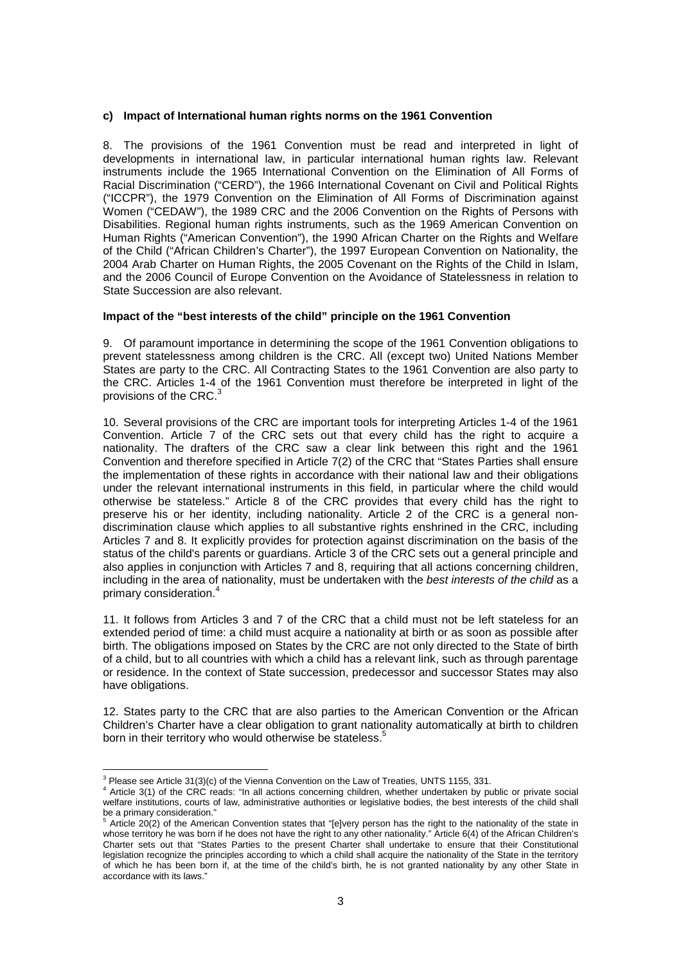#### **c) Impact of International human rights norms on the 1961 Convention**

8. The provisions of the 1961 Convention must be read and interpreted in light of developments in international law, in particular international human rights law. Relevant instruments include the 1965 International Convention on the Elimination of All Forms of Racial Discrimination ("CERD"), the 1966 International Covenant on Civil and Political Rights ("ICCPR"), the 1979 Convention on the Elimination of All Forms of Discrimination against Women ("CEDAW"), the 1989 CRC and the 2006 Convention on the Rights of Persons with Disabilities. Regional human rights instruments, such as the 1969 American Convention on Human Rights ("American Convention"), the 1990 African Charter on the Rights and Welfare of the Child ("African Children's Charter"), the 1997 European Convention on Nationality, the 2004 Arab Charter on Human Rights, the 2005 Covenant on the Rights of the Child in Islam, and the 2006 Council of Europe Convention on the Avoidance of Statelessness in relation to State Succession are also relevant.

#### **Impact of the "best interests of the child" principle on the 1961 Convention**

9. Of paramount importance in determining the scope of the 1961 Convention obligations to prevent statelessness among children is the CRC. All (except two) United Nations Member States are party to the CRC. All Contracting States to the 1961 Convention are also party to the CRC. Articles 1-4 of the 1961 Convention must therefore be interpreted in light of the provisions of the CRC. $3$ 

10. Several provisions of the CRC are important tools for interpreting Articles 1-4 of the 1961 Convention. Article 7 of the CRC sets out that every child has the right to acquire a nationality. The drafters of the CRC saw a clear link between this right and the 1961 Convention and therefore specified in Article 7(2) of the CRC that "States Parties shall ensure the implementation of these rights in accordance with their national law and their obligations under the relevant international instruments in this field, in particular where the child would otherwise be stateless." Article 8 of the CRC provides that every child has the right to preserve his or her identity, including nationality. Article 2 of the CRC is a general nondiscrimination clause which applies to all substantive rights enshrined in the CRC, including Articles 7 and 8. It explicitly provides for protection against discrimination on the basis of the status of the child's parents or guardians. Article 3 of the CRC sets out a general principle and also applies in conjunction with Articles 7 and 8, requiring that all actions concerning children, including in the area of nationality, must be undertaken with the best interests of the child as a primary consideration.<sup>4</sup>

11. It follows from Articles 3 and 7 of the CRC that a child must not be left stateless for an extended period of time: a child must acquire a nationality at birth or as soon as possible after birth. The obligations imposed on States by the CRC are not only directed to the State of birth of a child, but to all countries with which a child has a relevant link, such as through parentage or residence. In the context of State succession, predecessor and successor States may also have obligations.

12. States party to the CRC that are also parties to the American Convention or the African Children's Charter have a clear obligation to grant nationality automatically at birth to children born in their territory who would otherwise be stateless.<sup>5</sup>

 $3$  Please see Article 31(3)(c) of the Vienna Convention on the Law of Treaties, UNTS 1155, 331.

<sup>4</sup> Article 3(1) of the CRC reads: "In all actions concerning children, whether undertaken by public or private social welfare institutions, courts of law, administrative authorities or legislative bodies, the best interests of the child shall be a primary consideration."

Article 20(2) of the American Convention states that "[e]very person has the right to the nationality of the state in whose territory he was born if he does not have the right to any other nationality." Article 6(4) of the African Children's Charter sets out that "States Parties to the present Charter shall undertake to ensure that their Constitutional legislation recognize the principles according to which a child shall acquire the nationality of the State in the territory of which he has been born if, at the time of the child's birth, he is not granted nationality by any other State in accordance with its laws."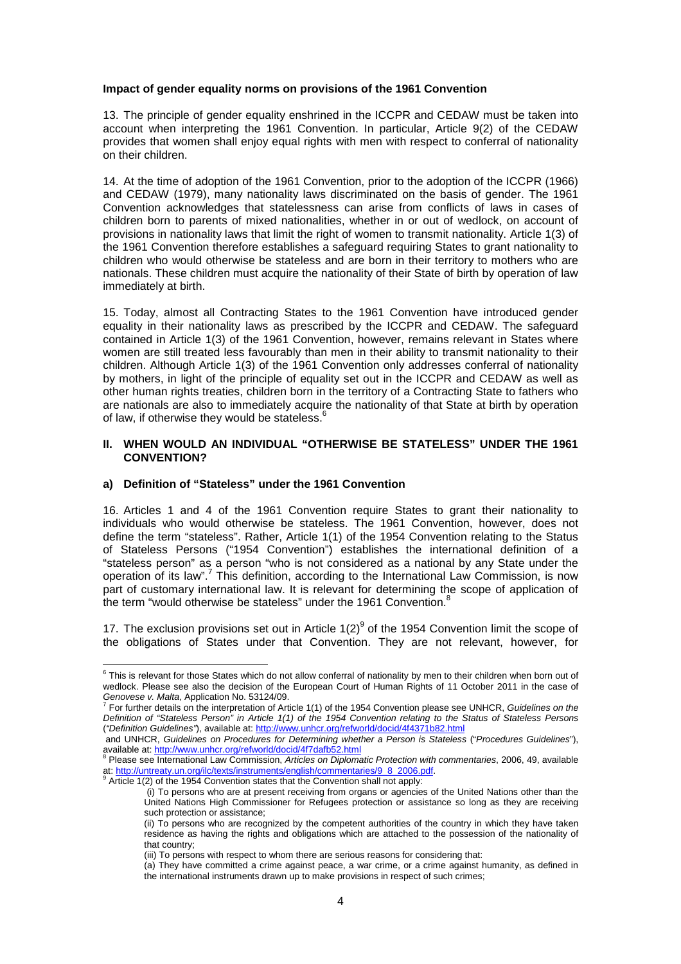#### **Impact of gender equality norms on provisions of the 1961 Convention**

13. The principle of gender equality enshrined in the ICCPR and CEDAW must be taken into account when interpreting the 1961 Convention. In particular, Article 9(2) of the CEDAW provides that women shall enjoy equal rights with men with respect to conferral of nationality on their children.

14. At the time of adoption of the 1961 Convention, prior to the adoption of the ICCPR (1966) and CEDAW (1979), many nationality laws discriminated on the basis of gender. The 1961 Convention acknowledges that statelessness can arise from conflicts of laws in cases of children born to parents of mixed nationalities, whether in or out of wedlock, on account of provisions in nationality laws that limit the right of women to transmit nationality. Article 1(3) of the 1961 Convention therefore establishes a safeguard requiring States to grant nationality to children who would otherwise be stateless and are born in their territory to mothers who are nationals. These children must acquire the nationality of their State of birth by operation of law immediately at birth.

15. Today, almost all Contracting States to the 1961 Convention have introduced gender equality in their nationality laws as prescribed by the ICCPR and CEDAW. The safeguard contained in Article 1(3) of the 1961 Convention, however, remains relevant in States where women are still treated less favourably than men in their ability to transmit nationality to their children. Although Article 1(3) of the 1961 Convention only addresses conferral of nationality by mothers, in light of the principle of equality set out in the ICCPR and CEDAW as well as other human rights treaties, children born in the territory of a Contracting State to fathers who are nationals are also to immediately acquire the nationality of that State at birth by operation of law, if otherwise they would be stateless.

#### **II. WHEN WOULD AN INDIVIDUAL "OTHERWISE BE STATELESS" UNDER THE 1961 CONVENTION?**

#### **a) Definition of "Stateless" under the 1961 Convention**

16. Articles 1 and 4 of the 1961 Convention require States to grant their nationality to individuals who would otherwise be stateless. The 1961 Convention, however, does not define the term "stateless". Rather, Article 1(1) of the 1954 Convention relating to the Status of Stateless Persons ("1954 Convention") establishes the international definition of a "stateless person" as a person "who is not considered as a national by any State under the operation of its law".<sup>7</sup> This definition, according to the International Law Commission, is now part of customary international law. It is relevant for determining the scope of application of the term "would otherwise be stateless" under the 1961 Convention.<sup>8</sup>

17. The exclusion provisions set out in Article  $1(2)^9$  of the 1954 Convention limit the scope of the obligations of States under that Convention. They are not relevant, however, for

 6 This is relevant for those States which do not allow conferral of nationality by men to their children when born out of wedlock. Please see also the decision of the European Court of Human Rights of 11 October 2011 in the case of Genovese v. Malta, Application No. 53124/09.<br><sup>7</sup> Fer further details an the interpretation of Arti

For further details on the interpretation of Article 1(1) of the 1954 Convention please see UNHCR, Guidelines on the Definition of "Stateless Person" in Article 1(1) of the 1954 Convention relating to the Status of Stateless Persons ("Definition Guidelines"), available at: http://www.unhcr.org/refworld/docid/4f4371b82.html

and UNHCR, Guidelines on Procedures for Determining whether a Person is Stateless ("Procedures Guidelines"), available at: <u>http://www.unhcr.org/refworld/docid/4f7dafb52.html</u><br><sup>8</sup> Please see International Law Commission, *Articles on Diplomatic Protection with commentaries*, 2006, 49, available

at: <u>http://untreaty.un.org/ilc/texts/instruments/english/commentaries/9\_8\_2006.pdf</u>.<br><sup>9</sup> Article 1(2) of the 1954 Convention states that the Convention shall not apply:

 <sup>(</sup>i) To persons who are at present receiving from organs or agencies of the United Nations other than the United Nations High Commissioner for Refugees protection or assistance so long as they are receiving such protection or assistance;

<sup>(</sup>ii) To persons who are recognized by the competent authorities of the country in which they have taken residence as having the rights and obligations which are attached to the possession of the nationality of that country;

<sup>(</sup>iii) To persons with respect to whom there are serious reasons for considering that:

<sup>(</sup>a) They have committed a crime against peace, a war crime, or a crime against humanity, as defined in the international instruments drawn up to make provisions in respect of such crimes;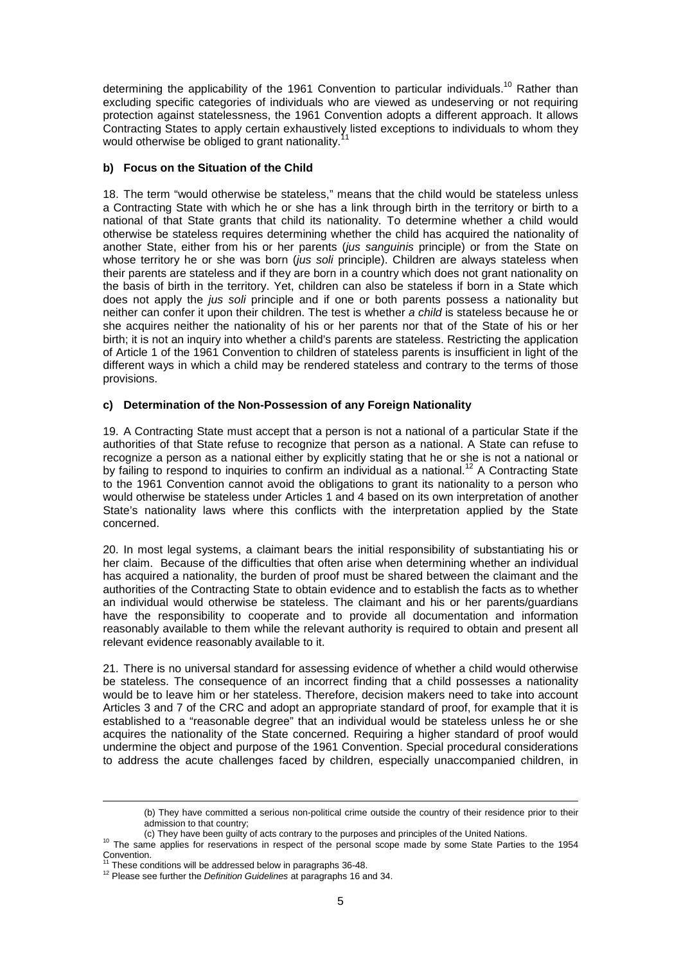determining the applicability of the 1961 Convention to particular individuals.<sup>10</sup> Rather than excluding specific categories of individuals who are viewed as undeserving or not requiring protection against statelessness, the 1961 Convention adopts a different approach. It allows Contracting States to apply certain exhaustively listed exceptions to individuals to whom they would otherwise be obliged to grant nationality.

#### **b) Focus on the Situation of the Child**

18. The term "would otherwise be stateless," means that the child would be stateless unless a Contracting State with which he or she has a link through birth in the territory or birth to a national of that State grants that child its nationality. To determine whether a child would otherwise be stateless requires determining whether the child has acquired the nationality of another State, either from his or her parents (jus sanguinis principle) or from the State on whose territory he or she was born (jus soli principle). Children are always stateless when their parents are stateless and if they are born in a country which does not grant nationality on the basis of birth in the territory. Yet, children can also be stateless if born in a State which does not apply the *jus soli* principle and if one or both parents possess a nationality but neither can confer it upon their children. The test is whether a child is stateless because he or she acquires neither the nationality of his or her parents nor that of the State of his or her birth; it is not an inquiry into whether a child's parents are stateless. Restricting the application of Article 1 of the 1961 Convention to children of stateless parents is insufficient in light of the different ways in which a child may be rendered stateless and contrary to the terms of those provisions.

### **c) Determination of the Non-Possession of any Foreign Nationality**

19. A Contracting State must accept that a person is not a national of a particular State if the authorities of that State refuse to recognize that person as a national. A State can refuse to recognize a person as a national either by explicitly stating that he or she is not a national or by failing to respond to inquiries to confirm an individual as a national.<sup>12</sup> A Contracting State to the 1961 Convention cannot avoid the obligations to grant its nationality to a person who would otherwise be stateless under Articles 1 and 4 based on its own interpretation of another State's nationality laws where this conflicts with the interpretation applied by the State concerned.

20. In most legal systems, a claimant bears the initial responsibility of substantiating his or her claim. Because of the difficulties that often arise when determining whether an individual has acquired a nationality, the burden of proof must be shared between the claimant and the authorities of the Contracting State to obtain evidence and to establish the facts as to whether an individual would otherwise be stateless. The claimant and his or her parents/guardians have the responsibility to cooperate and to provide all documentation and information reasonably available to them while the relevant authority is required to obtain and present all relevant evidence reasonably available to it.

21. There is no universal standard for assessing evidence of whether a child would otherwise be stateless. The consequence of an incorrect finding that a child possesses a nationality would be to leave him or her stateless. Therefore, decision makers need to take into account Articles 3 and 7 of the CRC and adopt an appropriate standard of proof, for example that it is established to a "reasonable degree" that an individual would be stateless unless he or she acquires the nationality of the State concerned. Requiring a higher standard of proof would undermine the object and purpose of the 1961 Convention. Special procedural considerations to address the acute challenges faced by children, especially unaccompanied children, in

<sup>(</sup>b) They have committed a serious non-political crime outside the country of their residence prior to their admission to that country;

<sup>(</sup>c) They have been guilty of acts contrary to the purposes and principles of the United Nations.

<sup>&</sup>lt;sup>10</sup> The same applies for reservations in respect of the personal scope made by some State Parties to the 1954 Convention.

<sup>11</sup> These conditions will be addressed below in paragraphs 36-48.

<sup>&</sup>lt;sup>12</sup> Please see further the Definition Guidelines at paragraphs 16 and 34.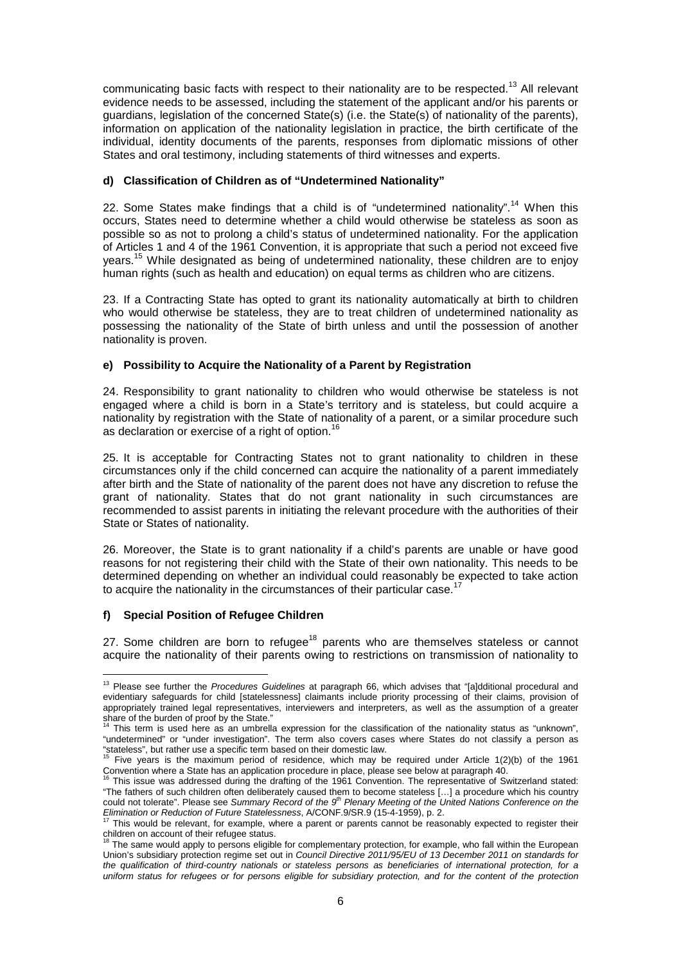communicating basic facts with respect to their nationality are to be respected.<sup>13</sup> All relevant evidence needs to be assessed, including the statement of the applicant and/or his parents or guardians, legislation of the concerned State(s) (i.e. the State(s) of nationality of the parents), information on application of the nationality legislation in practice, the birth certificate of the individual, identity documents of the parents, responses from diplomatic missions of other States and oral testimony, including statements of third witnesses and experts.

### **d) Classification of Children as of "Undetermined Nationality"**

22. Some States make findings that a child is of "undetermined nationality".<sup>14</sup> When this occurs, States need to determine whether a child would otherwise be stateless as soon as possible so as not to prolong a child's status of undetermined nationality. For the application of Articles 1 and 4 of the 1961 Convention, it is appropriate that such a period not exceed five years.<sup>15</sup> While designated as being of undetermined nationality, these children are to enjoy human rights (such as health and education) on equal terms as children who are citizens.

23. If a Contracting State has opted to grant its nationality automatically at birth to children who would otherwise be stateless, they are to treat children of undetermined nationality as possessing the nationality of the State of birth unless and until the possession of another nationality is proven.

### **e) Possibility to Acquire the Nationality of a Parent by Registration**

24. Responsibility to grant nationality to children who would otherwise be stateless is not engaged where a child is born in a State's territory and is stateless, but could acquire a nationality by registration with the State of nationality of a parent, or a similar procedure such as declaration or exercise of a right of option.<sup>1</sup>

25. It is acceptable for Contracting States not to grant nationality to children in these circumstances only if the child concerned can acquire the nationality of a parent immediately after birth and the State of nationality of the parent does not have any discretion to refuse the grant of nationality. States that do not grant nationality in such circumstances are recommended to assist parents in initiating the relevant procedure with the authorities of their State or States of nationality.

26. Moreover, the State is to grant nationality if a child's parents are unable or have good reasons for not registering their child with the State of their own nationality. This needs to be determined depending on whether an individual could reasonably be expected to take action to acquire the nationality in the circumstances of their particular case.

### **f) Special Position of Refugee Children**

27. Some children are born to refugee<sup>18</sup> parents who are themselves stateless or cannot acquire the nationality of their parents owing to restrictions on transmission of nationality to

 $\overline{a}$ <sup>13</sup> Please see further the Procedures Guidelines at paragraph 66, which advises that "[a]dditional procedural and evidentiary safeguards for child [statelessness] claimants include priority processing of their claims, provision of appropriately trained legal representatives, interviewers and interpreters, as well as the assumption of a greater share of the burden of proof by the State."

This term is used here as an umbrella expression for the classification of the nationality status as "unknown", "undetermined" or "under investigation". The term also covers cases where States do not classify a person as "stateless", but rather use a specific term based on their domestic law.

Five years is the maximum period of residence, which may be required under Article 1(2)(b) of the 1961 Convention where a State has an application procedure in place, please see below at paragraph 40.

This issue was addressed during the drafting of the 1961 Convention. The representative of Switzerland stated: "The fathers of such children often deliberately caused them to become stateless [...] a procedure which his country could not tolerate". Please see Summary Record of the 9<sup>th</sup> Plenary Meeting of the United Nations Conference on the Elimination or Reduction of Future Statelessness, A/CONF.9/SR.9 (15-4-1959), p. 2.

This would be relevant, for example, where a parent or parents cannot be reasonably expected to register their

children on account of their refugee status.<br><sup>18</sup> The same would apply to persons eligible for complementary protection, for example, who fall within the European Union's subsidiary protection regime set out in Council Directive 2011/95/EU of 13 December 2011 on standards for the qualification of third-country nationals or stateless persons as beneficiaries of international protection, for a uniform status for refugees or for persons eligible for subsidiary protection, and for the content of the protection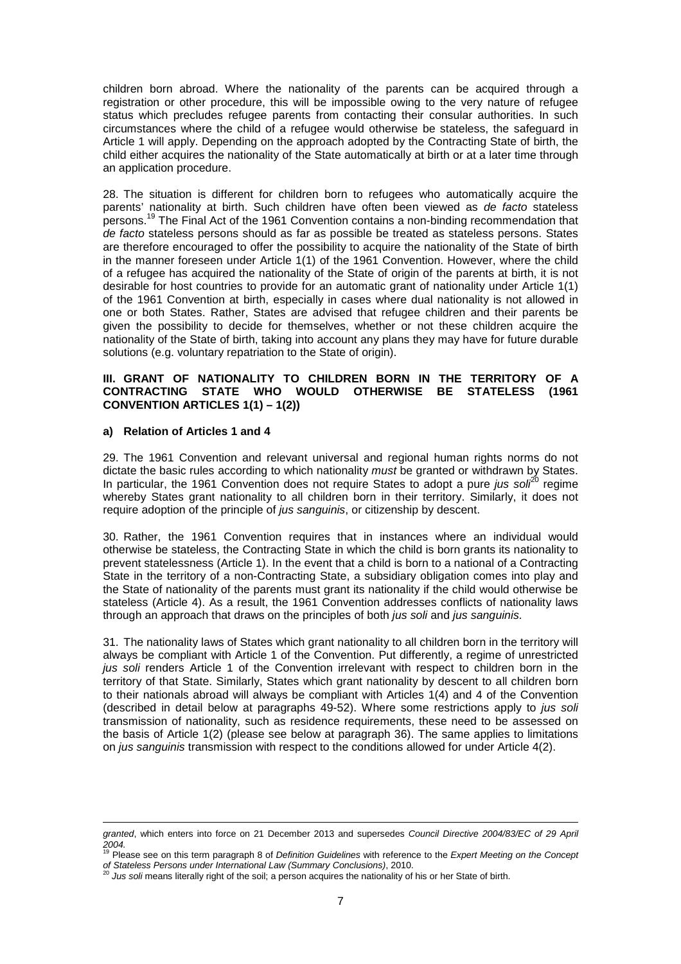children born abroad. Where the nationality of the parents can be acquired through a registration or other procedure, this will be impossible owing to the very nature of refugee status which precludes refugee parents from contacting their consular authorities. In such circumstances where the child of a refugee would otherwise be stateless, the safeguard in Article 1 will apply. Depending on the approach adopted by the Contracting State of birth, the child either acquires the nationality of the State automatically at birth or at a later time through an application procedure.

28. The situation is different for children born to refugees who automatically acquire the parents' nationality at birth. Such children have often been viewed as de facto stateless persons.<sup>19</sup> The Final Act of the 1961 Convention contains a non-binding recommendation that de facto stateless persons should as far as possible be treated as stateless persons. States are therefore encouraged to offer the possibility to acquire the nationality of the State of birth in the manner foreseen under Article 1(1) of the 1961 Convention. However, where the child of a refugee has acquired the nationality of the State of origin of the parents at birth, it is not desirable for host countries to provide for an automatic grant of nationality under Article 1(1) of the 1961 Convention at birth, especially in cases where dual nationality is not allowed in one or both States. Rather, States are advised that refugee children and their parents be given the possibility to decide for themselves, whether or not these children acquire the nationality of the State of birth, taking into account any plans they may have for future durable solutions (e.g. voluntary repatriation to the State of origin).

#### **III. GRANT OF NATIONALITY TO CHILDREN BORN IN THE TERRITORY OF A CONTRACTING STATE WHO WOULD OTHERWISE BE STATELESS (1961 CONVENTION ARTICLES 1(1) – 1(2))**

### **a) Relation of Articles 1 and 4**

 $\overline{a}$ 

29. The 1961 Convention and relevant universal and regional human rights norms do not dictate the basic rules according to which nationality must be granted or withdrawn by States. In particular, the 1961 Convention does not require States to adopt a pure *jus sol*<sup>20</sup> regime whereby States grant nationality to all children born in their territory. Similarly, it does not require adoption of the principle of jus sanguinis, or citizenship by descent.

30. Rather, the 1961 Convention requires that in instances where an individual would otherwise be stateless, the Contracting State in which the child is born grants its nationality to prevent statelessness (Article 1). In the event that a child is born to a national of a Contracting State in the territory of a non-Contracting State, a subsidiary obligation comes into play and the State of nationality of the parents must grant its nationality if the child would otherwise be stateless (Article 4). As a result, the 1961 Convention addresses conflicts of nationality laws through an approach that draws on the principles of both *jus soli* and *jus sanguinis*.

31. The nationality laws of States which grant nationality to all children born in the territory will always be compliant with Article 1 of the Convention. Put differently, a regime of unrestricted jus soli renders Article 1 of the Convention irrelevant with respect to children born in the territory of that State. Similarly, States which grant nationality by descent to all children born to their nationals abroad will always be compliant with Articles 1(4) and 4 of the Convention (described in detail below at paragraphs 49-52). Where some restrictions apply to jus soli transmission of nationality, such as residence requirements, these need to be assessed on the basis of Article 1(2) (please see below at paragraph 36). The same applies to limitations on jus sanguinis transmission with respect to the conditions allowed for under Article 4(2).

granted, which enters into force on 21 December 2013 and supersedes Council Directive 2004/83/EC of 29 April

<sup>2004.&</sup>lt;br><sup>19</sup> Please see on this term paragraph 8 of *Definition Guidelines* with reference to the *Expert Meeting on the Concept* 

of Stateless Persons under International Law (Summary Conclusions), 2010.<br><sup>20</sup> Jus soli means literally right of the soil; a person acquires the nationality of his or her State of birth.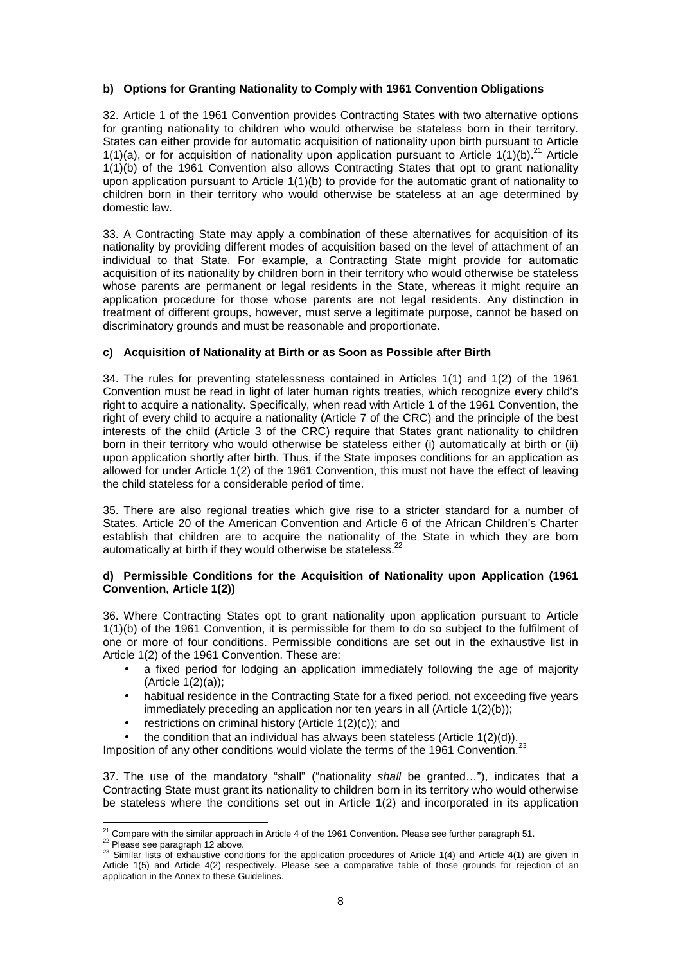## **b) Options for Granting Nationality to Comply with 1961 Convention Obligations**

32. Article 1 of the 1961 Convention provides Contracting States with two alternative options for granting nationality to children who would otherwise be stateless born in their territory. States can either provide for automatic acquisition of nationality upon birth pursuant to Article 1(1)(a), or for acquisition of nationality upon application pursuant to Article 1(1)(b).<sup>21</sup> Article 1(1)(b) of the 1961 Convention also allows Contracting States that opt to grant nationality upon application pursuant to Article 1(1)(b) to provide for the automatic grant of nationality to children born in their territory who would otherwise be stateless at an age determined by domestic law.

33. A Contracting State may apply a combination of these alternatives for acquisition of its nationality by providing different modes of acquisition based on the level of attachment of an individual to that State. For example, a Contracting State might provide for automatic acquisition of its nationality by children born in their territory who would otherwise be stateless whose parents are permanent or legal residents in the State, whereas it might require an application procedure for those whose parents are not legal residents. Any distinction in treatment of different groups, however, must serve a legitimate purpose, cannot be based on discriminatory grounds and must be reasonable and proportionate.

### **c) Acquisition of Nationality at Birth or as Soon as Possible after Birth**

34. The rules for preventing statelessness contained in Articles 1(1) and 1(2) of the 1961 Convention must be read in light of later human rights treaties, which recognize every child's right to acquire a nationality. Specifically, when read with Article 1 of the 1961 Convention, the right of every child to acquire a nationality (Article 7 of the CRC) and the principle of the best interests of the child (Article 3 of the CRC) require that States grant nationality to children born in their territory who would otherwise be stateless either (i) automatically at birth or (ii) upon application shortly after birth. Thus, if the State imposes conditions for an application as allowed for under Article 1(2) of the 1961 Convention, this must not have the effect of leaving the child stateless for a considerable period of time.

35. There are also regional treaties which give rise to a stricter standard for a number of States. Article 20 of the American Convention and Article 6 of the African Children's Charter establish that children are to acquire the nationality of the State in which they are born automatically at birth if they would otherwise be stateless.<sup>2</sup>

#### **d) Permissible Conditions for the Acquisition of Nationality upon Application (1961 Convention, Article 1(2))**

36. Where Contracting States opt to grant nationality upon application pursuant to Article 1(1)(b) of the 1961 Convention, it is permissible for them to do so subject to the fulfilment of one or more of four conditions. Permissible conditions are set out in the exhaustive list in Article 1(2) of the 1961 Convention. These are:

- a fixed period for lodging an application immediately following the age of majority (Article  $1(2)(a)$ );
- habitual residence in the Contracting State for a fixed period, not exceeding five years immediately preceding an application nor ten years in all (Article 1(2)(b));
- restrictions on criminal history (Article 1(2)(c)); and
- the condition that an individual has always been stateless (Article  $1(2)(d)$ ).

Imposition of any other conditions would violate the terms of the 1961 Convention.<sup>23</sup>

37. The use of the mandatory "shall" ("nationality shall be granted..."), indicates that a Contracting State must grant its nationality to children born in its territory who would otherwise be stateless where the conditions set out in Article 1(2) and incorporated in its application

 $\overline{a}$ <sup>21</sup> Compare with the similar approach in Article 4 of the 1961 Convention. Please see further paragraph 51.

<sup>&</sup>lt;sup>22</sup> Please see paragraph 12 above.

 $^{23}$  Similar lists of exhaustive conditions for the application procedures of Article 1(4) and Article 4(1) are given in Article 1(5) and Article 4(2) respectively. Please see a comparative table of those grounds for rejection of an application in the Annex to these Guidelines.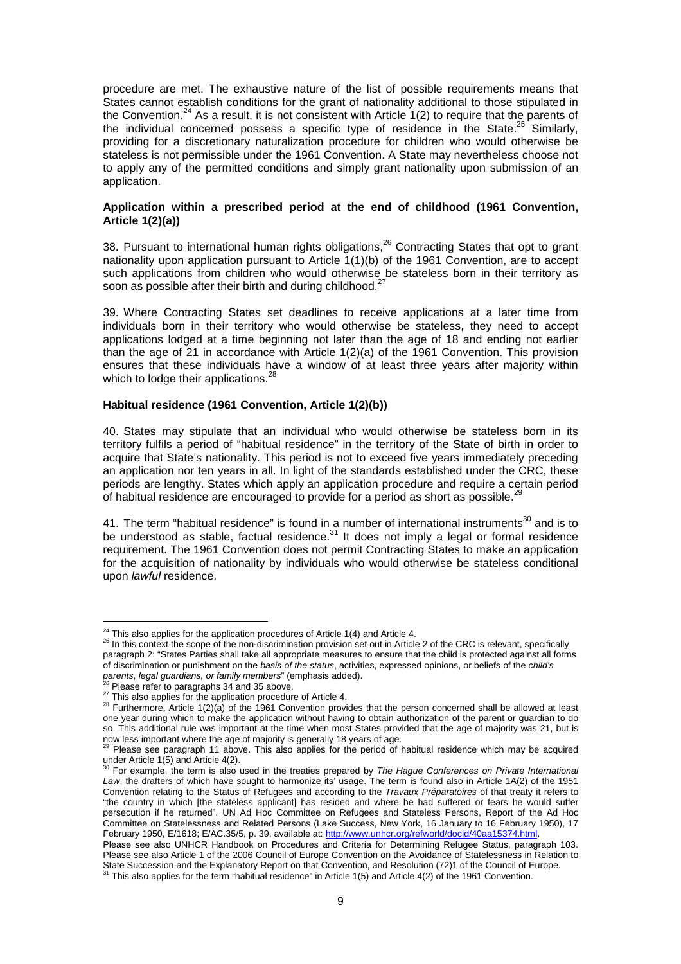procedure are met. The exhaustive nature of the list of possible requirements means that States cannot establish conditions for the grant of nationality additional to those stipulated in the Convention.<sup>24</sup> As a result, it is not consistent with Article  $1(2)$  to require that the parents of the individual concerned possess a specific type of residence in the State.<sup>25</sup> Similarly, providing for a discretionary naturalization procedure for children who would otherwise be stateless is not permissible under the 1961 Convention. A State may nevertheless choose not to apply any of the permitted conditions and simply grant nationality upon submission of an application.

#### **Application within a prescribed period at the end of childhood (1961 Convention, Article 1(2)(a))**

38. Pursuant to international human rights obligations.<sup>26</sup> Contracting States that opt to grant nationality upon application pursuant to Article 1(1)(b) of the 1961 Convention, are to accept such applications from children who would otherwise be stateless born in their territory as soon as possible after their birth and during childhood. $27$ 

39. Where Contracting States set deadlines to receive applications at a later time from individuals born in their territory who would otherwise be stateless, they need to accept applications lodged at a time beginning not later than the age of 18 and ending not earlier than the age of 21 in accordance with Article 1(2)(a) of the 1961 Convention. This provision ensures that these individuals have a window of at least three years after majority within which to lodge their applications.<sup>28</sup>

#### **Habitual residence (1961 Convention, Article 1(2)(b))**

40. States may stipulate that an individual who would otherwise be stateless born in its territory fulfils a period of "habitual residence" in the territory of the State of birth in order to acquire that State's nationality. This period is not to exceed five years immediately preceding an application nor ten years in all. In light of the standards established under the CRC, these periods are lengthy. States which apply an application procedure and require a certain period of habitual residence are encouraged to provide for a period as short as possible.<sup>29</sup>

41. The term "habitual residence" is found in a number of international instruments $30$  and is to be understood as stable, factual residence.<sup>31</sup> It does not imply a legal or formal residence requirement. The 1961 Convention does not permit Contracting States to make an application for the acquisition of nationality by individuals who would otherwise be stateless conditional upon lawful residence.

 $24$  This also applies for the application procedures of Article 1(4) and Article 4.

 $25$  In this context the scope of the non-discrimination provision set out in Article 2 of the CRC is relevant, specifically paragraph 2: "States Parties shall take all appropriate measures to ensure that the child is protected against all forms of discrimination or punishment on the basis of the status, activities, expressed opinions, or beliefs of the child's parents, legal guardians, or family members" (emphasis added).

Please refer to paragraphs 34 and 35 above.

<sup>&</sup>lt;sup>27</sup> This also applies for the application procedure of Article 4.

<sup>&</sup>lt;sup>28</sup> Furthermore, Article 1(2)(a) of the 1961 Convention provides that the person concerned shall be allowed at least one year during which to make the application without having to obtain authorization of the parent or guardian to do so. This additional rule was important at the time when most States provided that the age of majority was 21, but is

now less important where the age of majority is generally 18 years of age.<br><sup>29</sup> Please see paragraph 11 above. This also applies for the period of habitual residence which may be acquired under Article 1(5) and Article 4(2).

For example, the term is also used in the treaties prepared by The Hague Conferences on Private International Law, the drafters of which have sought to harmonize its' usage. The term is found also in Article 1A(2) of the 1951 Convention relating to the Status of Refugees and according to the Travaux Préparatoires of that treaty it refers to "the country in which [the stateless applicant] has resided and where he had suffered or fears he would suffer persecution if he returned". UN Ad Hoc Committee on Refugees and Stateless Persons, Report of the Ad Hoc Committee on Statelessness and Related Persons (Lake Success, New York, 16 January to 16 February 1950), 17 February 1950, E/1618; E/AC.35/5, p. 39, available at: http://www.unhcr.org/refworld/docid/40aa15374.html.

Please see also UNHCR Handbook on Procedures and Criteria for Determining Refugee Status, paragraph 103. Please see also Article 1 of the 2006 Council of Europe Convention on the Avoidance of Statelessness in Relation to State Succession and the Explanatory Report on that Convention, and Resolution (72)1 of the Council of Europe.<br><sup>31</sup> This slee sail and the Explanatory Report on that Convention, and Resolution (72)1 of the Council of Europ This also applies for the term "habitual residence" in Article 1(5) and Article 4(2) of the 1961 Convention.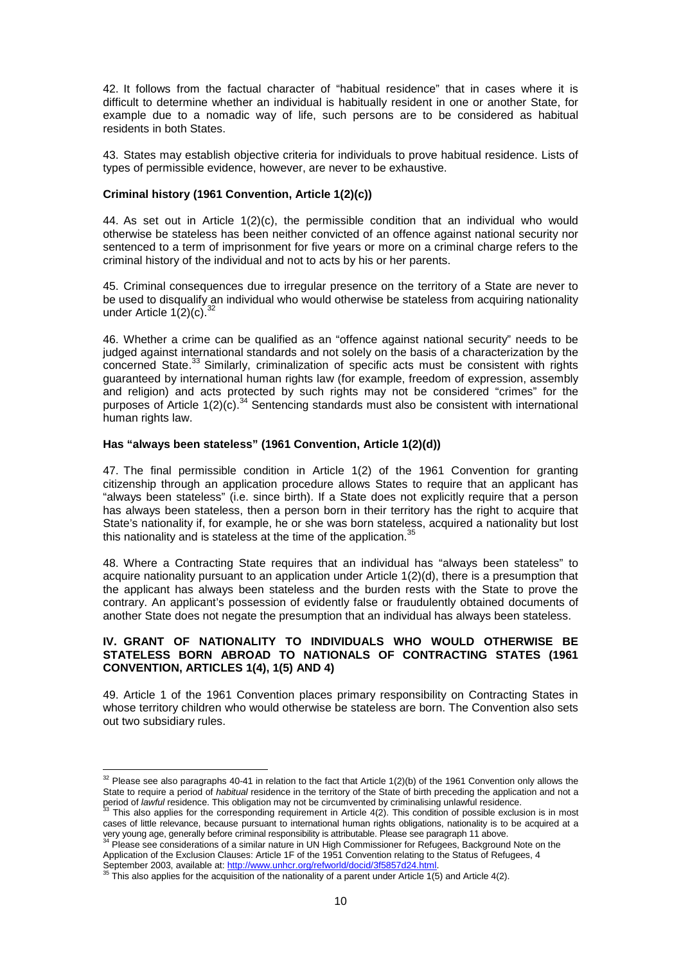42. It follows from the factual character of "habitual residence" that in cases where it is difficult to determine whether an individual is habitually resident in one or another State, for example due to a nomadic way of life, such persons are to be considered as habitual residents in both States.

43. States may establish objective criteria for individuals to prove habitual residence. Lists of types of permissible evidence, however, are never to be exhaustive.

#### **Criminal history (1961 Convention, Article 1(2)(c))**

44. As set out in Article  $1(2)(c)$ , the permissible condition that an individual who would otherwise be stateless has been neither convicted of an offence against national security nor sentenced to a term of imprisonment for five years or more on a criminal charge refers to the criminal history of the individual and not to acts by his or her parents.

45. Criminal consequences due to irregular presence on the territory of a State are never to be used to disqualify an individual who would otherwise be stateless from acquiring nationality under Article  $1(2)(c)$ .

46. Whether a crime can be qualified as an "offence against national security" needs to be judged against international standards and not solely on the basis of a characterization by the concerned State.<sup>33</sup> Similarly, criminalization of specific acts must be consistent with rights guaranteed by international human rights law (for example, freedom of expression, assembly and religion) and acts protected by such rights may not be considered "crimes" for the purposes of Article 1(2)(c).<sup>34</sup> Sentencing standards must also be consistent with international human rights law.

## **Has "always been stateless" (1961 Convention, Article 1(2)(d))**

47. The final permissible condition in Article 1(2) of the 1961 Convention for granting citizenship through an application procedure allows States to require that an applicant has "always been stateless" (i.e. since birth). If a State does not explicitly require that a person has always been stateless, then a person born in their territory has the right to acquire that State's nationality if, for example, he or she was born stateless, acquired a nationality but lost this nationality and is stateless at the time of the application.<sup>35</sup>

48. Where a Contracting State requires that an individual has "always been stateless" to acquire nationality pursuant to an application under Article 1(2)(d), there is a presumption that the applicant has always been stateless and the burden rests with the State to prove the contrary. An applicant's possession of evidently false or fraudulently obtained documents of another State does not negate the presumption that an individual has always been stateless.

## **IV. GRANT OF NATIONALITY TO INDIVIDUALS WHO WOULD OTHERWISE BE STATELESS BORN ABROAD TO NATIONALS OF CONTRACTING STATES (1961 CONVENTION, ARTICLES 1(4), 1(5) AND 4)**

49. Article 1 of the 1961 Convention places primary responsibility on Contracting States in whose territory children who would otherwise be stateless are born. The Convention also sets out two subsidiary rules.

 $32$  Please see also paragraphs 40-41 in relation to the fact that Article 1(2)(b) of the 1961 Convention only allows the State to require a period of *habitual* residence in the territory of the State of birth preceding the application and not a period of lawful residence. This obligation may not be circumvented by criminalising unlawful residence.

This also applies for the corresponding requirement in Article 4(2). This condition of possible exclusion is in most cases of little relevance, because pursuant to international human rights obligations, nationality is to be acquired at a very young age, generally before criminal responsibility is attributable. Please see paragraph 11 above.<br><sup>34</sup> Please see considerations of a similar nature in UN High Commissioner for Refugees, Background Note on the

Application of the Exclusion Clauses: Article 1F of the 1951 Convention relating to the Status of Refugees, 4

September 2003, available at: <u>http://www.unhcr.org/refworld/docid/3f5857d24.html</u>.<br><sup>35</sup> This also applies for the acquisition of the nationality of a parent under Article 1(5) and Article 4(2).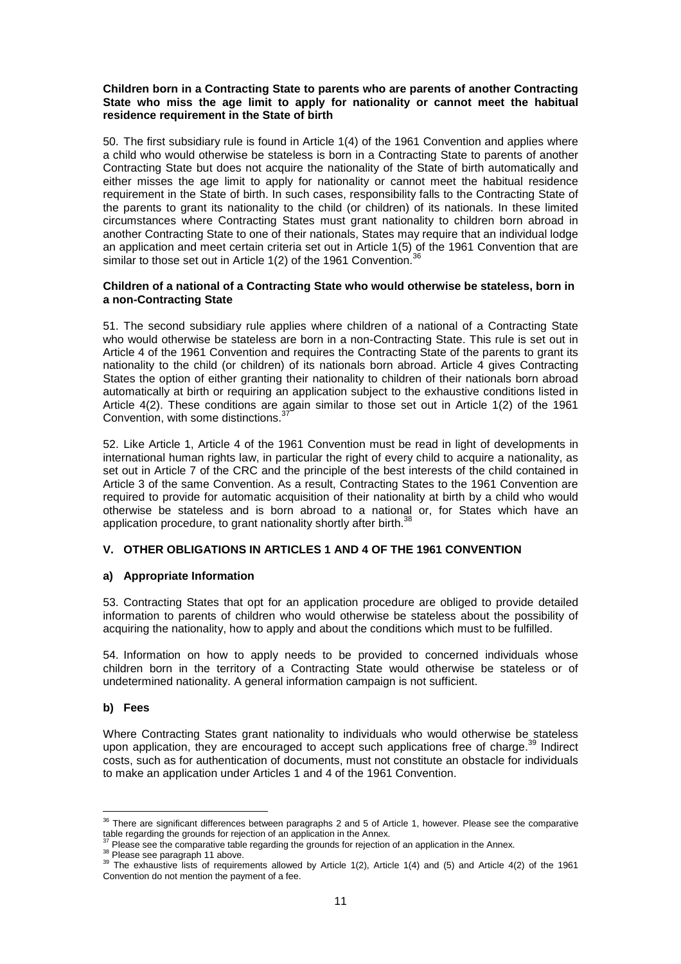#### **Children born in a Contracting State to parents who are parents of another Contracting State who miss the age limit to apply for nationality or cannot meet the habitual residence requirement in the State of birth**

50. The first subsidiary rule is found in Article 1(4) of the 1961 Convention and applies where a child who would otherwise be stateless is born in a Contracting State to parents of another Contracting State but does not acquire the nationality of the State of birth automatically and either misses the age limit to apply for nationality or cannot meet the habitual residence requirement in the State of birth. In such cases, responsibility falls to the Contracting State of the parents to grant its nationality to the child (or children) of its nationals. In these limited circumstances where Contracting States must grant nationality to children born abroad in another Contracting State to one of their nationals, States may require that an individual lodge an application and meet certain criteria set out in Article 1(5) of the 1961 Convention that are similar to those set out in Article  $1(2)$  of the 1961 Convention.<sup>3</sup>

#### **Children of a national of a Contracting State who would otherwise be stateless, born in a non-Contracting State**

51. The second subsidiary rule applies where children of a national of a Contracting State who would otherwise be stateless are born in a non-Contracting State. This rule is set out in Article 4 of the 1961 Convention and requires the Contracting State of the parents to grant its nationality to the child (or children) of its nationals born abroad. Article 4 gives Contracting States the option of either granting their nationality to children of their nationals born abroad automatically at birth or requiring an application subject to the exhaustive conditions listed in Article 4(2). These conditions are again similar to those set out in Article 1(2) of the 1961 Convention, with some distinctions.<sup>37</sup>

52. Like Article 1, Article 4 of the 1961 Convention must be read in light of developments in international human rights law, in particular the right of every child to acquire a nationality, as set out in Article 7 of the CRC and the principle of the best interests of the child contained in Article 3 of the same Convention. As a result, Contracting States to the 1961 Convention are required to provide for automatic acquisition of their nationality at birth by a child who would otherwise be stateless and is born abroad to a national or, for States which have an application procedure, to grant nationality shortly after birth.<sup>38</sup>

## **V. OTHER OBLIGATIONS IN ARTICLES 1 AND 4 OF THE 1961 CONVENTION**

## **a) Appropriate Information**

53. Contracting States that opt for an application procedure are obliged to provide detailed information to parents of children who would otherwise be stateless about the possibility of acquiring the nationality, how to apply and about the conditions which must to be fulfilled.

54. Information on how to apply needs to be provided to concerned individuals whose children born in the territory of a Contracting State would otherwise be stateless or of undetermined nationality. A general information campaign is not sufficient.

## **b) Fees**

Where Contracting States grant nationality to individuals who would otherwise be stateless upon application, they are encouraged to accept such applications free of charge.<sup>39</sup> Indirect costs, such as for authentication of documents, must not constitute an obstacle for individuals to make an application under Articles 1 and 4 of the 1961 Convention.

<sup>38</sup> Please see paragraph 11 above.

 $\overline{a}$  $36$  There are significant differences between paragraphs 2 and 5 of Article 1, however. Please see the comparative table regarding the grounds for rejection of an application in the Annex.

 $<sup>7</sup>$  Please see the comparative table regarding the grounds for rejection of an application in the Annex.</sup>

<sup>&</sup>lt;sup>39</sup> The exhaustive lists of requirements allowed by Article 1(2), Article 1(4) and (5) and Article 4(2) of the 1961 Convention do not mention the payment of a fee.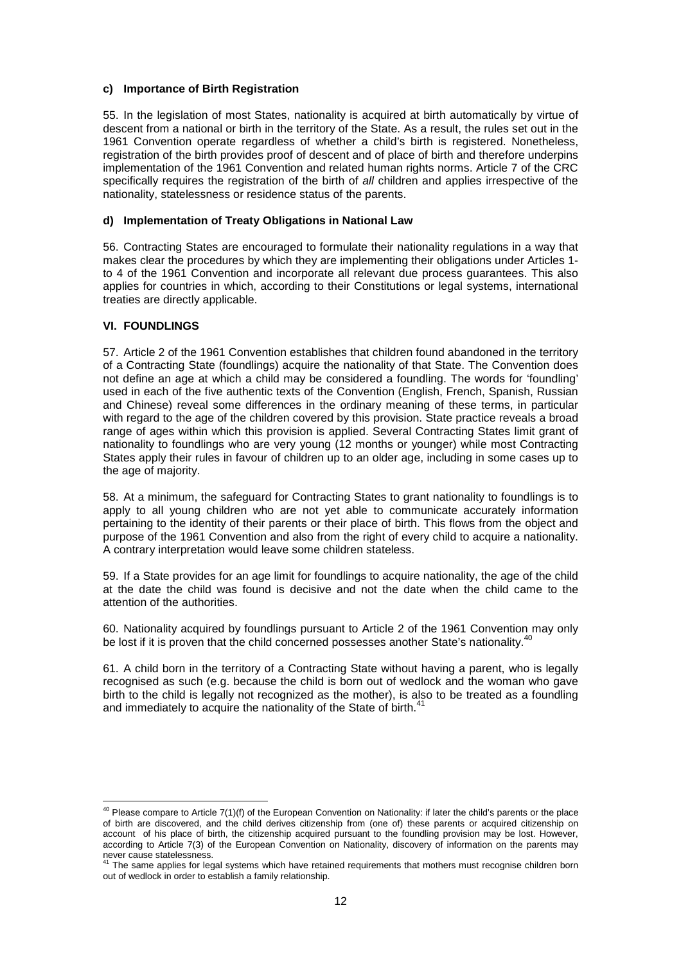### **c) Importance of Birth Registration**

55. In the legislation of most States, nationality is acquired at birth automatically by virtue of descent from a national or birth in the territory of the State. As a result, the rules set out in the 1961 Convention operate regardless of whether a child's birth is registered. Nonetheless, registration of the birth provides proof of descent and of place of birth and therefore underpins implementation of the 1961 Convention and related human rights norms. Article 7 of the CRC specifically requires the registration of the birth of all children and applies irrespective of the nationality, statelessness or residence status of the parents.

#### **d) Implementation of Treaty Obligations in National Law**

56. Contracting States are encouraged to formulate their nationality regulations in a way that makes clear the procedures by which they are implementing their obligations under Articles 1 to 4 of the 1961 Convention and incorporate all relevant due process guarantees. This also applies for countries in which, according to their Constitutions or legal systems, international treaties are directly applicable.

## **VI. FOUNDLINGS**

 $\overline{a}$ 

57. Article 2 of the 1961 Convention establishes that children found abandoned in the territory of a Contracting State (foundlings) acquire the nationality of that State. The Convention does not define an age at which a child may be considered a foundling. The words for 'foundling' used in each of the five authentic texts of the Convention (English, French, Spanish, Russian and Chinese) reveal some differences in the ordinary meaning of these terms, in particular with regard to the age of the children covered by this provision. State practice reveals a broad range of ages within which this provision is applied. Several Contracting States limit grant of nationality to foundlings who are very young (12 months or younger) while most Contracting States apply their rules in favour of children up to an older age, including in some cases up to the age of majority.

58. At a minimum, the safeguard for Contracting States to grant nationality to foundlings is to apply to all young children who are not yet able to communicate accurately information pertaining to the identity of their parents or their place of birth. This flows from the object and purpose of the 1961 Convention and also from the right of every child to acquire a nationality. A contrary interpretation would leave some children stateless.

59. If a State provides for an age limit for foundlings to acquire nationality, the age of the child at the date the child was found is decisive and not the date when the child came to the attention of the authorities.

60. Nationality acquired by foundlings pursuant to Article 2 of the 1961 Convention may only be lost if it is proven that the child concerned possesses another State's nationality.<sup>40</sup>

61. A child born in the territory of a Contracting State without having a parent, who is legally recognised as such (e.g. because the child is born out of wedlock and the woman who gave birth to the child is legally not recognized as the mother), is also to be treated as a foundling and immediately to acquire the nationality of the State of birth.<sup>4</sup>

 $40$  Please compare to Article 7(1)(f) of the European Convention on Nationality: if later the child's parents or the place of birth are discovered, and the child derives citizenship from (one of) these parents or acquired citizenship on account of his place of birth, the citizenship acquired pursuant to the foundling provision may be lost. However, according to Article 7(3) of the European Convention on Nationality, discovery of information on the parents may

never cause statelessness.<br><sup>41</sup> The same applies for legal systems which have retained requirements that mothers must recognise children born out of wedlock in order to establish a family relationship.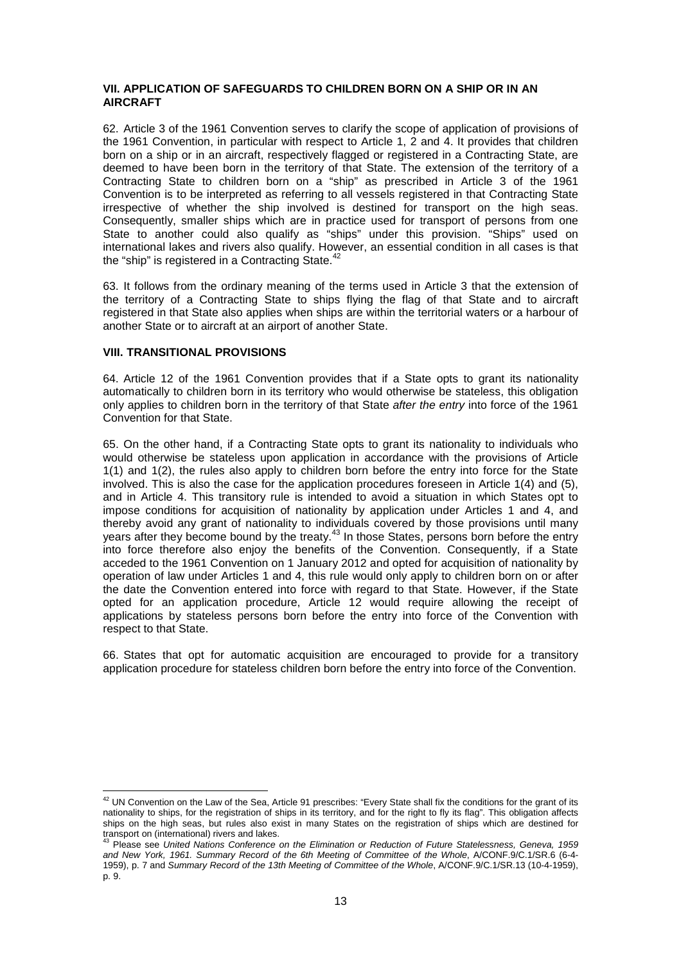## **VII. APPLICATION OF SAFEGUARDS TO CHILDREN BORN ON A SHIP OR IN AN AIRCRAFT**

62. Article 3 of the 1961 Convention serves to clarify the scope of application of provisions of the 1961 Convention, in particular with respect to Article 1, 2 and 4. It provides that children born on a ship or in an aircraft, respectively flagged or registered in a Contracting State, are deemed to have been born in the territory of that State. The extension of the territory of a Contracting State to children born on a "ship" as prescribed in Article 3 of the 1961 Convention is to be interpreted as referring to all vessels registered in that Contracting State irrespective of whether the ship involved is destined for transport on the high seas. Consequently, smaller ships which are in practice used for transport of persons from one State to another could also qualify as "ships" under this provision. "Ships" used on international lakes and rivers also qualify. However, an essential condition in all cases is that the "ship" is registered in a Contracting State.<sup>42</sup>

63. It follows from the ordinary meaning of the terms used in Article 3 that the extension of the territory of a Contracting State to ships flying the flag of that State and to aircraft registered in that State also applies when ships are within the territorial waters or a harbour of another State or to aircraft at an airport of another State.

### **VIII. TRANSITIONAL PROVISIONS**

 $\overline{a}$ 

64. Article 12 of the 1961 Convention provides that if a State opts to grant its nationality automatically to children born in its territory who would otherwise be stateless, this obligation only applies to children born in the territory of that State after the entry into force of the 1961 Convention for that State.

65. On the other hand, if a Contracting State opts to grant its nationality to individuals who would otherwise be stateless upon application in accordance with the provisions of Article 1(1) and 1(2), the rules also apply to children born before the entry into force for the State involved. This is also the case for the application procedures foreseen in Article 1(4) and (5), and in Article 4. This transitory rule is intended to avoid a situation in which States opt to impose conditions for acquisition of nationality by application under Articles 1 and 4, and thereby avoid any grant of nationality to individuals covered by those provisions until many years after they become bound by the treaty.<sup>43</sup> In those States, persons born before the entry into force therefore also enjoy the benefits of the Convention. Consequently, if a State acceded to the 1961 Convention on 1 January 2012 and opted for acquisition of nationality by operation of law under Articles 1 and 4, this rule would only apply to children born on or after the date the Convention entered into force with regard to that State. However, if the State opted for an application procedure, Article 12 would require allowing the receipt of applications by stateless persons born before the entry into force of the Convention with respect to that State.

66. States that opt for automatic acquisition are encouraged to provide for a transitory application procedure for stateless children born before the entry into force of the Convention.

 $42$  UN Convention on the Law of the Sea, Article 91 prescribes: "Every State shall fix the conditions for the grant of its nationality to ships, for the registration of ships in its territory, and for the right to fly its flag". This obligation affects ships on the high seas, but rules also exist in many States on the registration of ships which are destined for

transport on (international) rivers and lakes.<br><sup>43</sup> Please see *United Nations Conference on the Elimination or Reduction of Future Statelessness, Geneva, 1959* and New York, 1961. Summary Record of the 6th Meeting of Committee of the Whole, A/CONF.9/C.1/SR.6 (6-4- 1959), p. 7 and Summary Record of the 13th Meeting of Committee of the Whole, A/CONF.9/C.1/SR.13 (10-4-1959), p. 9.